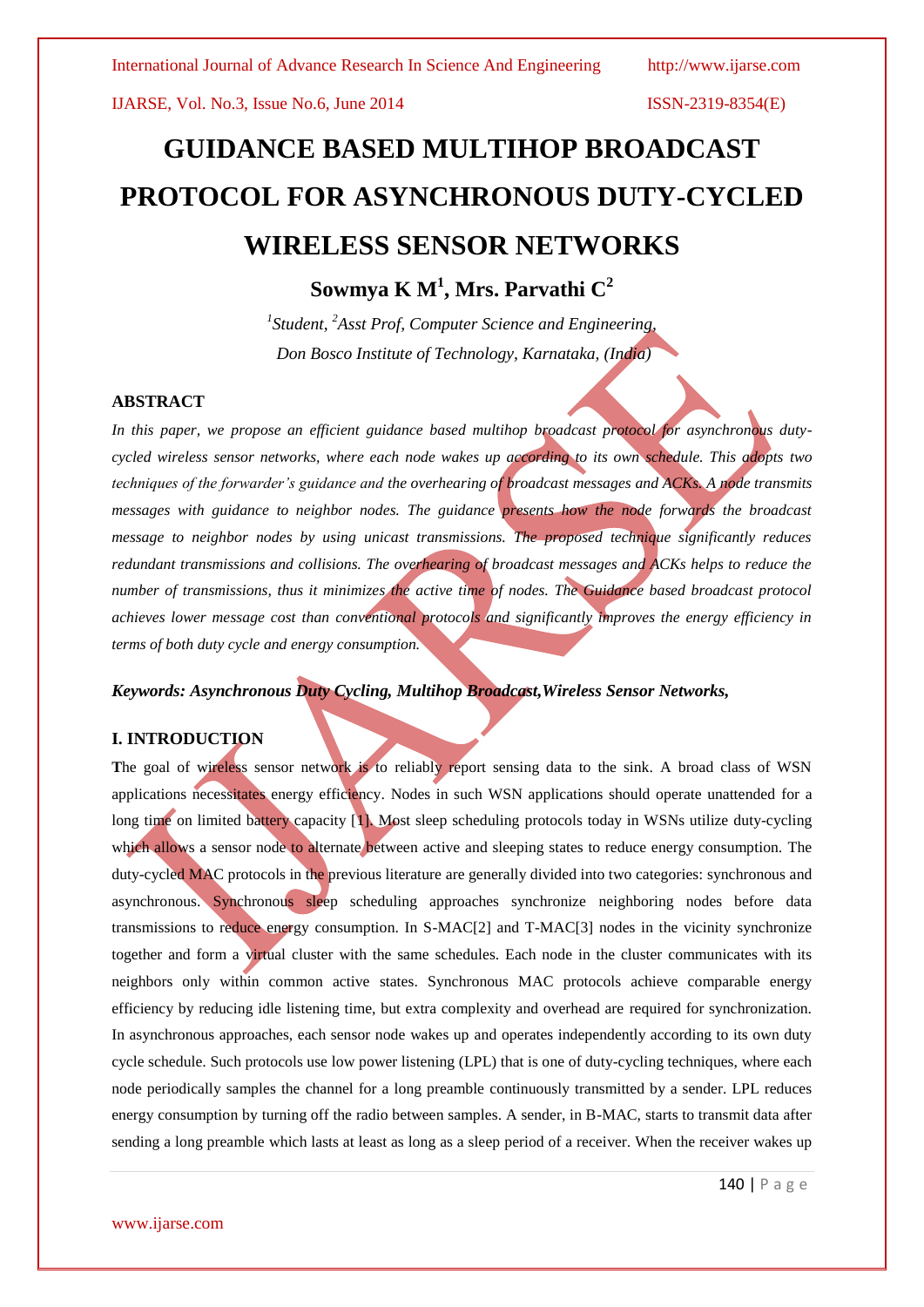# **GUIDANCE BASED MULTIHOP BROADCAST PROTOCOL FOR ASYNCHRONOUS DUTY-CYCLED WIRELESS SENSOR NETWORKS**

**Sowmya K M<sup>1</sup> , Mrs. Parvathi C<sup>2</sup>**

*1 Student, <sup>2</sup>Asst Prof, Computer Science and Engineering, Don Bosco Institute of Technology, Karnataka, (India)*

### **ABSTRACT**

*In this paper, we propose an efficient guidance based multihop broadcast protocol for asynchronous dutycycled wireless sensor networks, where each node wakes up according to its own schedule. This adopts two techniques of the forwarder's guidance and the overhearing of broadcast messages and ACKs. A node transmits messages with guidance to neighbor nodes. The guidance presents how the node forwards the broadcast message to neighbor nodes by using unicast transmissions. The proposed technique significantly reduces redundant transmissions and collisions. The overhearing of broadcast messages and ACKs helps to reduce the number of transmissions, thus it minimizes the active time of nodes. The Guidance based broadcast protocol achieves lower message cost than conventional protocols and significantly improves the energy efficiency in terms of both duty cycle and energy consumption.*

# *Keywords: Asynchronous Duty Cycling, Multihop Broadcast,Wireless Sensor Networks,*

# **I. INTRODUCTION**

The goal of wireless sensor network is to reliably report sensing data to the sink. A broad class of WSN applications necessitates energy efficiency. Nodes in such WSN applications should operate unattended for a long time on limited battery capacity [1]. Most sleep scheduling protocols today in WSNs utilize duty-cycling which allows a sensor node to alternate between active and sleeping states to reduce energy consumption. The duty-cycled MAC protocols in the previous literature are generally divided into two categories: synchronous and asynchronous. Synchronous sleep scheduling approaches synchronize neighboring nodes before data transmissions to reduce energy consumption. In S-MAC[2] and T-MAC[3] nodes in the vicinity synchronize together and form a virtual cluster with the same schedules. Each node in the cluster communicates with its neighbors only within common active states. Synchronous MAC protocols achieve comparable energy efficiency by reducing idle listening time, but extra complexity and overhead are required for synchronization. In asynchronous approaches, each sensor node wakes up and operates independently according to its own duty cycle schedule. Such protocols use low power listening (LPL) that is one of duty-cycling techniques, where each node periodically samples the channel for a long preamble continuously transmitted by a sender. LPL reduces energy consumption by turning off the radio between samples. A sender, in B-MAC, starts to transmit data after sending a long preamble which lasts at least as long as a sleep period of a receiver. When the receiver wakes up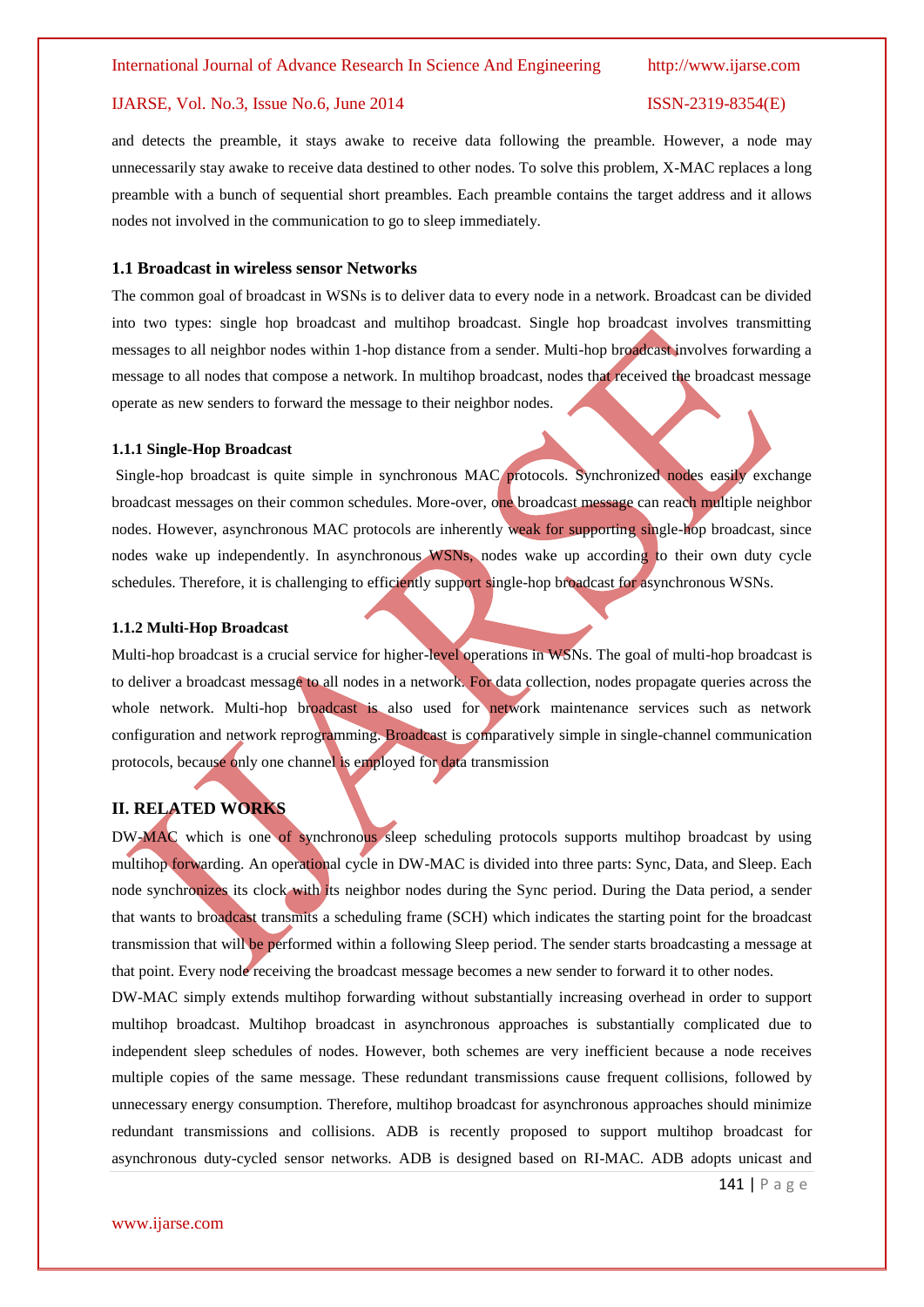and detects the preamble, it stays awake to receive data following the preamble. However, a node may unnecessarily stay awake to receive data destined to other nodes. To solve this problem, X-MAC replaces a long preamble with a bunch of sequential short preambles. Each preamble contains the target address and it allows nodes not involved in the communication to go to sleep immediately.

#### **1.1 Broadcast in wireless sensor Networks**

The common goal of broadcast in WSNs is to deliver data to every node in a network. Broadcast can be divided into two types: single hop broadcast and multihop broadcast. Single hop broadcast involves transmitting messages to all neighbor nodes within 1-hop distance from a sender. Multi-hop broadcast involves forwarding a message to all nodes that compose a network. In multihop broadcast, nodes that received the broadcast message operate as new senders to forward the message to their neighbor nodes.

#### **1.1.1 Single-Hop Broadcast**

Single-hop broadcast is quite simple in synchronous MAC protocols. Synchronized nodes easily exchange broadcast messages on their common schedules. More-over, one broadcast message can reach multiple neighbor nodes. However, asynchronous MAC protocols are inherently weak for supporting single-hop broadcast, since nodes wake up independently. In asynchronous WSNs, nodes wake up according to their own duty cycle schedules. Therefore, it is challenging to efficiently support single-hop broadcast for asynchronous WSNs.

#### **1.1.2 Multi-Hop Broadcast**

Multi-hop broadcast is a crucial service for higher-level operations in WSNs. The goal of multi-hop broadcast is to deliver a broadcast message to all nodes in a network. For data collection, nodes propagate queries across the whole network. Multi-hop broadcast is also used for network maintenance services such as network configuration and network reprogramming. Broadcast is comparatively simple in single-channel communication protocols, because only one channel is employed for data transmission

### **II. RELATED WORKS**

DW-MAC which is one of synchronous sleep scheduling protocols supports multihop broadcast by using multihop forwarding. An operational cycle in DW-MAC is divided into three parts: Sync, Data, and Sleep. Each node synchronizes its clock with its neighbor nodes during the Sync period. During the Data period, a sender that wants to broadcast transmits a scheduling frame (SCH) which indicates the starting point for the broadcast transmission that will be performed within a following Sleep period. The sender starts broadcasting a message at that point. Every node receiving the broadcast message becomes a new sender to forward it to other nodes.

DW-MAC simply extends multihop forwarding without substantially increasing overhead in order to support multihop broadcast. Multihop broadcast in asynchronous approaches is substantially complicated due to independent sleep schedules of nodes. However, both schemes are very inefficient because a node receives multiple copies of the same message. These redundant transmissions cause frequent collisions, followed by unnecessary energy consumption. Therefore, multihop broadcast for asynchronous approaches should minimize redundant transmissions and collisions. ADB is recently proposed to support multihop broadcast for asynchronous duty-cycled sensor networks. ADB is designed based on RI-MAC. ADB adopts unicast and

141 | P a g e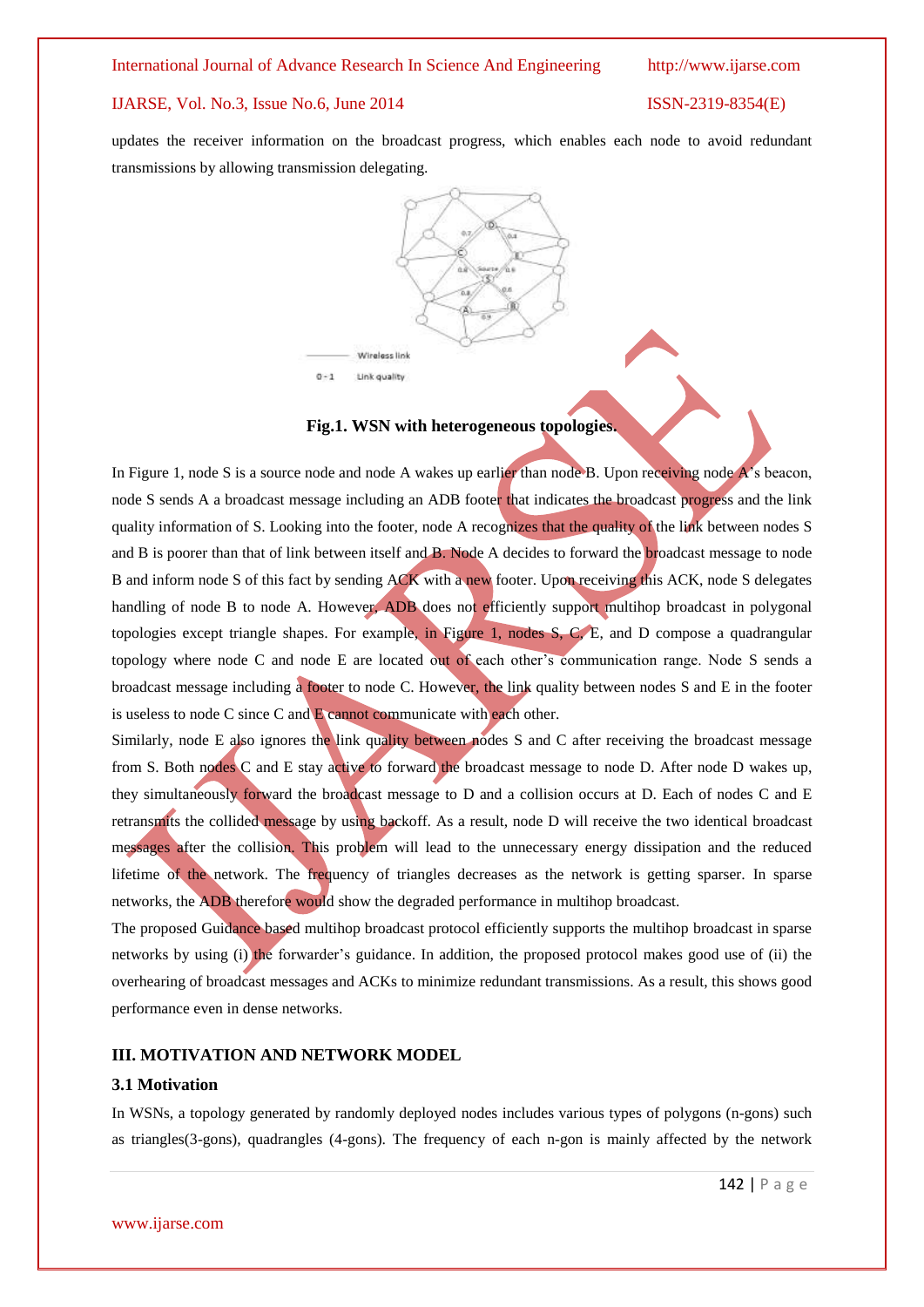updates the receiver information on the broadcast progress, which enables each node to avoid redundant transmissions by allowing transmission delegating.



#### **Fig.1. WSN with heterogeneous topologies.**

In Figure 1, node S is a source node and node A wakes up earlier than node B. Upon receiving node A's beacon, node S sends A a broadcast message including an ADB footer that indicates the broadcast progress and the link quality information of S. Looking into the footer, node A recognizes that the quality of the link between nodes S and B is poorer than that of link between itself and B. Node A decides to forward the broadcast message to node B and inform node S of this fact by sending ACK with a new footer. Upon receiving this ACK, node S delegates handling of node B to node A. However, ADB does not efficiently support multihop broadcast in polygonal topologies except triangle shapes. For example, in Figure 1, nodes S, C, E, and D compose a quadrangular topology where node C and node E are located out of each other's communication range. Node S sends a broadcast message including a footer to node C. However, the link quality between nodes S and E in the footer is useless to node C since C and E cannot communicate with each other.

Similarly, node E also ignores the link quality between nodes S and C after receiving the broadcast message from S. Both nodes C and E stay active to forward the broadcast message to node D. After node D wakes up, they simultaneously forward the broadcast message to D and a collision occurs at D. Each of nodes C and E retransmits the collided message by using backoff. As a result, node D will receive the two identical broadcast messages after the collision. This problem will lead to the unnecessary energy dissipation and the reduced lifetime of the network. The frequency of triangles decreases as the network is getting sparser. In sparse networks, the ADB therefore would show the degraded performance in multihop broadcast.

The proposed Guidance based multihop broadcast protocol efficiently supports the multihop broadcast in sparse networks by using (i) the forwarder's guidance. In addition, the proposed protocol makes good use of (ii) the overhearing of broadcast messages and ACKs to minimize redundant transmissions. As a result, this shows good performance even in dense networks.

### **III. MOTIVATION AND NETWORK MODEL**

### **3.1 Motivation**

In WSNs, a topology generated by randomly deployed nodes includes various types of polygons (n-gons) such as triangles(3-gons), quadrangles (4-gons). The frequency of each n-gon is mainly affected by the network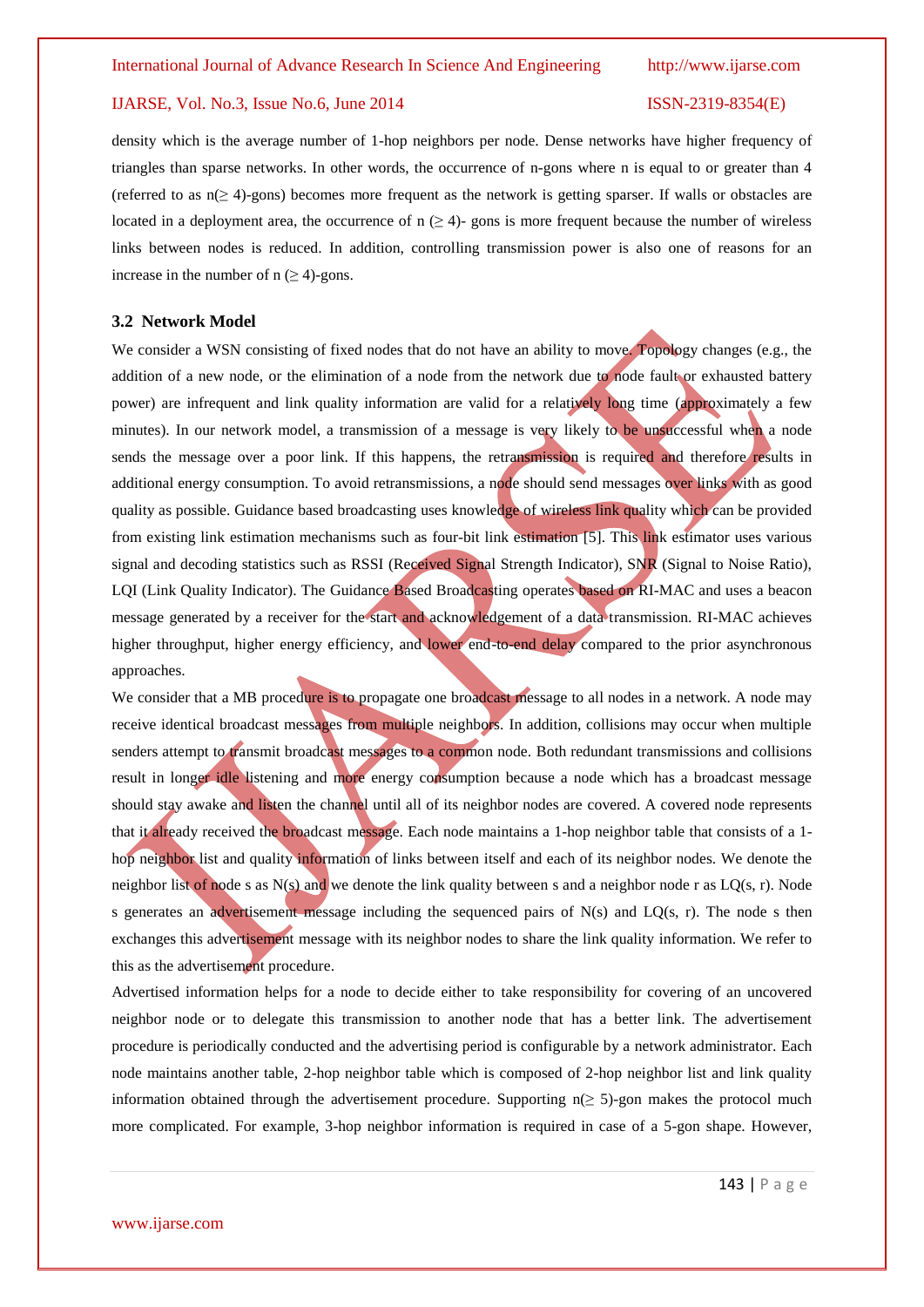density which is the average number of 1-hop neighbors per node. Dense networks have higher frequency of triangles than sparse networks. In other words, the occurrence of n-gons where n is equal to or greater than 4 (referred to as n(≥ 4)-gons) becomes more frequent as the network is getting sparser. If walls or obstacles are located in a deployment area, the occurrence of  $n \geq 4$ -gons is more frequent because the number of wireless links between nodes is reduced. In addition, controlling transmission power is also one of reasons for an increase in the number of  $n \geq 4$ )-gons.

#### **3.2 Network Model**

We consider a WSN consisting of fixed nodes that do not have an ability to move. Topology changes (e.g., the addition of a new node, or the elimination of a node from the network due to node fault or exhausted battery power) are infrequent and link quality information are valid for a relatively long time (approximately a few minutes). In our network model, a transmission of a message is very likely to be unsuccessful when a node sends the message over a poor link. If this happens, the retransmission is required and therefore results in additional energy consumption. To avoid retransmissions, a node should send messages over links with as good quality as possible. Guidance based broadcasting uses knowledge of wireless link quality which can be provided from existing link estimation mechanisms such as four-bit link estimation [5]. This link estimator uses various signal and decoding statistics such as RSSI (Received Signal Strength Indicator), SNR (Signal to Noise Ratio), LQI (Link Quality Indicator). The Guidance Based Broadcasting operates based on RI-MAC and uses a beacon message generated by a receiver for the start and acknowledgement of a data transmission. RI-MAC achieves higher throughput, higher energy efficiency, and lower end-to-end delay compared to the prior asynchronous approaches.

We consider that a MB procedure is to propagate one broadcast message to all nodes in a network. A node may receive identical broadcast messages from multiple neighbors. In addition, collisions may occur when multiple senders attempt to transmit broadcast messages to a common node. Both redundant transmissions and collisions result in longer idle listening and more energy consumption because a node which has a broadcast message should stay awake and listen the channel until all of its neighbor nodes are covered. A covered node represents that it already received the broadcast message. Each node maintains a 1-hop neighbor table that consists of a 1 hop neighbor list and quality information of links between itself and each of its neighbor nodes. We denote the neighbor list of node s as  $N(s)$  and we denote the link quality between s and a neighbor node r as  $LQ(s, r)$ . Node s generates an advertisement message including the sequenced pairs of N(s) and LQ(s, r). The node s then exchanges this advertisement message with its neighbor nodes to share the link quality information. We refer to this as the advertisement procedure.

Advertised information helps for a node to decide either to take responsibility for covering of an uncovered neighbor node or to delegate this transmission to another node that has a better link. The advertisement procedure is periodically conducted and the advertising period is configurable by a network administrator. Each node maintains another table, 2-hop neighbor table which is composed of 2-hop neighbor list and link quality information obtained through the advertisement procedure. Supporting  $n(\geq 5)$ -gon makes the protocol much more complicated. For example, 3-hop neighbor information is required in case of a 5-gon shape. However,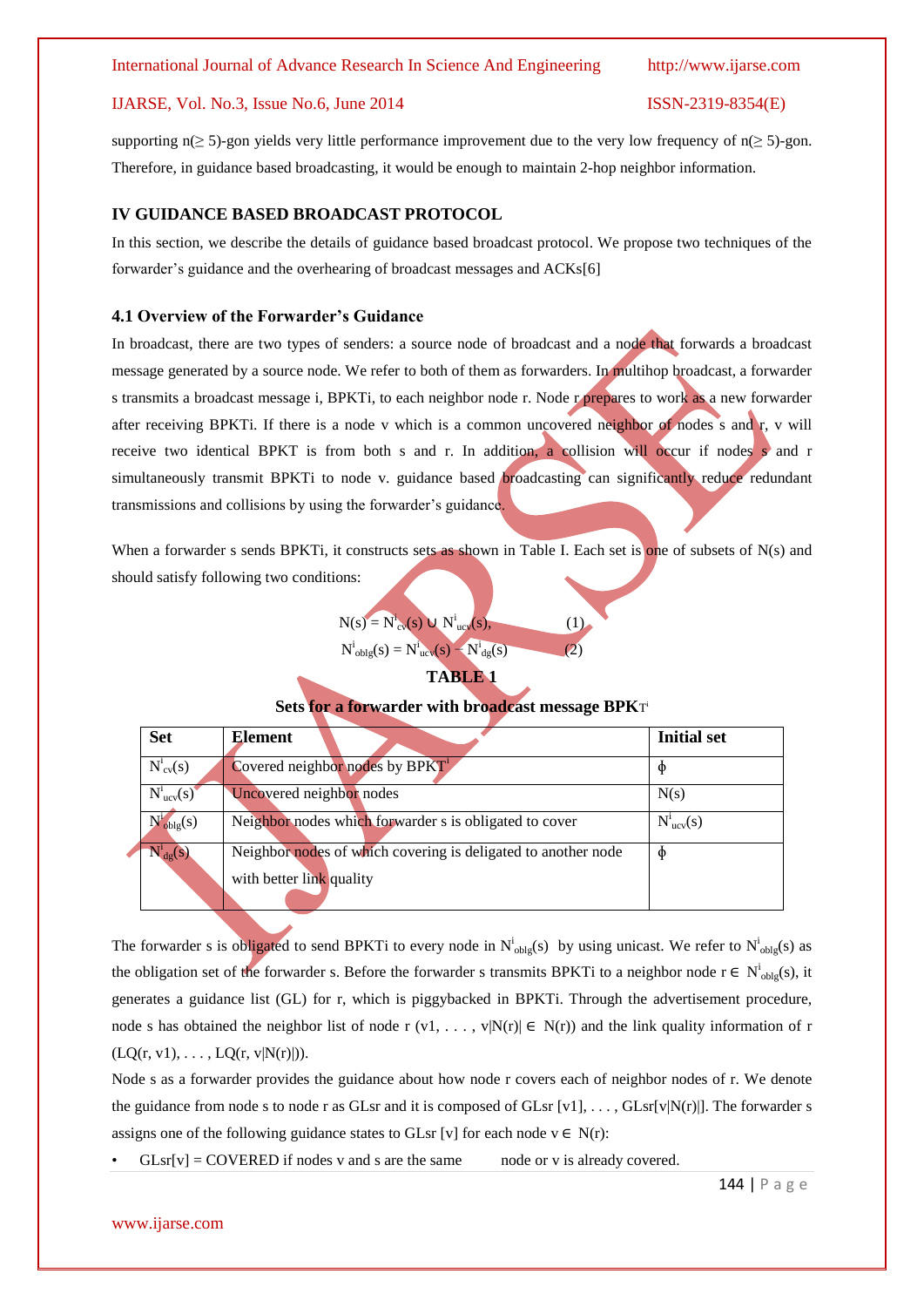#### International Journal of Advance Research In Science And Engineering http://www.ijarse.com

#### IJARSE, Vol. No.3, Issue No.6, June 2014 ISSN-2319-8354(E)

supporting n(≥ 5)-gon yields very little performance improvement due to the very low frequency of n(≥ 5)-gon. Therefore, in guidance based broadcasting, it would be enough to maintain 2-hop neighbor information.

### **IV GUIDANCE BASED BROADCAST PROTOCOL**

In this section, we describe the details of guidance based broadcast protocol. We propose two techniques of the forwarder's guidance and the overhearing of broadcast messages and ACKs[6]

### **4.1 Overview of the Forwarder's Guidance**

In broadcast, there are two types of senders: a source node of broadcast and a node that forwards a broadcast message generated by a source node. We refer to both of them as forwarders. In multihop broadcast, a forwarder s transmits a broadcast message i, BPKTi, to each neighbor node r. Node r prepares to work as a new forwarder after receiving BPKTi. If there is a node v which is a common uncovered neighbor of nodes s and r, v will receive two identical BPKT is from both s and r. In addition, a collision will occur if nodes s and r simultaneously transmit BPKTi to node v. guidance based **broadcasting** can significantly reduce redundant transmissions and collisions by using the forwarder's guidance.

When a forwarder s sends BPKTi, it constructs sets as shown in Table I. Each set is one of subsets of N(s) and should satisfy following two conditions:

> $N(s) = N^{i}_{\text{cv}}(s) \cup N^{i}_{\text{ucv}}(s),$  (1)  $N^i_{\text{objg}}(s) = N^i_{\text{ucv}}(s) - N^i_{\text{dg}}(s)$  (2) **TABLE 1**

### **Sets for a forwarder with broadcast message BPK**T i

| <b>Set</b>             | <b>Element</b>                                                | <b>Initial set</b> |
|------------------------|---------------------------------------------------------------|--------------------|
| $N^i_{\text{cv}}(s)$   | Covered neighbor nodes by BPKT <sup>1</sup>                   |                    |
| $N^1_{ucv}(s)$         | Uncovered neighbor nodes                                      | N(s)               |
| $N^i_{\text{objg}}(s)$ | Neighbor nodes which forwarder s is obligated to cover        | $N^1_{ucv}(s)$     |
| $N^1_{dg}(s)$          | Neighbor nodes of which covering is deligated to another node |                    |
|                        | with better link quality                                      |                    |

The forwarder s is obligated to send BPKTi to every node in  $N^i_{\text{objg}}(s)$  by using unicast. We refer to  $N^i_{\text{objg}}(s)$  as the obligation set of the forwarder s. Before the forwarder s transmits BPKTi to a neighbor node  $r \in N^i_{\text{objg}}(s)$ , it generates a guidance list (GL) for r, which is piggybacked in BPKTi. Through the advertisement procedure, node s has obtained the neighbor list of node r (v1, ..., v|N(r)|  $\in$  N(r)) and the link quality information of r  $(LQ(r, v1), \ldots, LQ(r, v|N(r)|)).$ 

Node s as a forwarder provides the guidance about how node r covers each of neighbor nodes of r. We denote the guidance from node s to node r as GLsr and it is composed of GLsr  $[v1], \ldots, G\text{Lsr}[v|N(r)]$ . The forwarder s assigns one of the following guidance states to GLsr [v] for each node  $v \in N(r)$ :

 $GLsr[v] = COVERED$  if nodes v and s are the same node or v is already covered.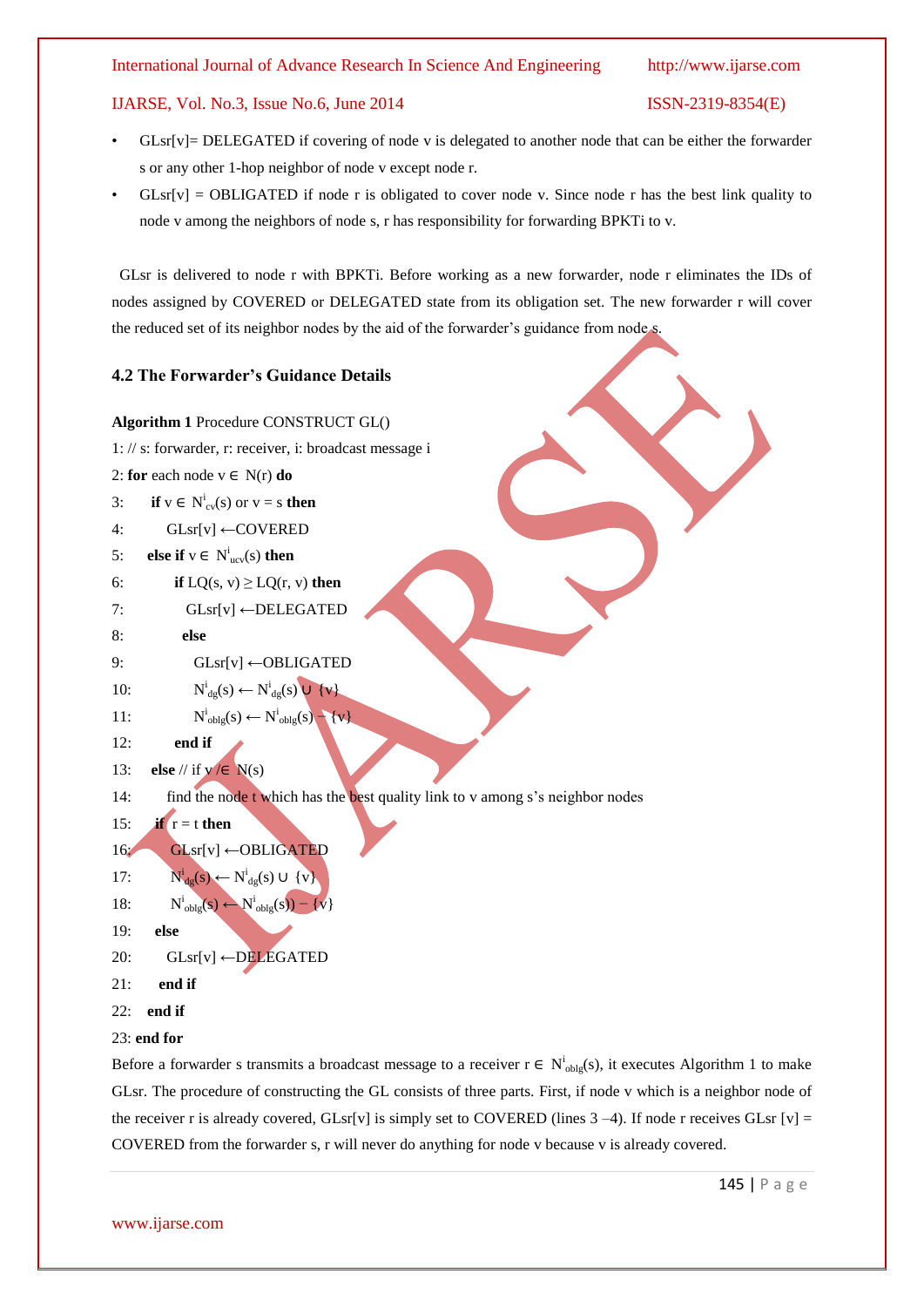- $GLsr[v] = DELEGATED$  if covering of node v is delegated to another node that can be either the forwarder s or any other 1-hop neighbor of node v except node r.
- $GLsr[v] = OBLIGATED$  if node r is obligated to cover node v. Since node r has the best link quality to node v among the neighbors of node s, r has responsibility for forwarding BPKTi to v.

 GLsr is delivered to node r with BPKTi. Before working as a new forwarder, node r eliminates the IDs of nodes assigned by COVERED or DELEGATED state from its obligation set. The new forwarder r will cover the reduced set of its neighbor nodes by the aid of the forwarder's guidance from node s.

### **4.2 The Forwarder's Guidance Details**

#### **Algorithm 1** Procedure CONSTRUCT GL()

- 1: // s: forwarder, r: receiver, i: broadcast message i
- 2: **for** each node  $v \in N(r)$  **do**
- 3: **if**  $v \in N^i_{cv}(s)$  or  $v = s$  **then**
- 4:  $GLsr[v]$  ← COVERED
- 5: **else if**  $v \in N^i_{ucv}(s)$  **then**
- 6: **if**  $LQ(s, v) \geq LQ(r, v)$  **then**
- 7: GLsr[v] ←DELEGATED
- 8: **else**
- 9: GLsr[v] ←OBLIGATED

10: 
$$
N^i_{dg}(s) \leftarrow N^i_{dg}(s) \cup \{v\}
$$

11: 
$$
N^i_{\text{objg}}(s) \leftarrow N^i_{\text{objg}}(s) - \{v\}
$$

12: **end if**

```
13: else // if y \in N(s)
```
14: find the node t which has the best quality link to v among s's neighbor nodes

```
15: if r = t then
```

```
16: GLsr[v] ←OBLIGATED
```

```
17:\mathbf{N}_{\mathrm{dg}}^{i}(\mathbf{s}) \leftarrow \mathbf{N}_{\mathrm{dg}}^{i}(\mathbf{s}) \cup \{\mathbf{v}\}\
```

```
18:
                              \mathbf{N}_{\text{objg}}^{i}(\mathbf{s}) \leftarrow \mathbf{N}_{\text{objg}}^{i}(\mathbf{s}) - \{v\}
```

```
19: else
```

```
20: GLsr[v] \leftarrowDELEGATED
```
- 21: **end if**
- 22: **end if**

# 23: **end for**

Before a forwarder s transmits a broadcast message to a receiver  $r \in N^i_{\text{objg}}(s)$ , it executes Algorithm 1 to make GLsr. The procedure of constructing the GL consists of three parts. First, if node v which is a neighbor node of the receiver r is already covered, GLsr[v] is simply set to COVERED (lines  $3 - 4$ ). If node r receives GLsr [v] = COVERED from the forwarder s, r will never do anything for node v because v is already covered.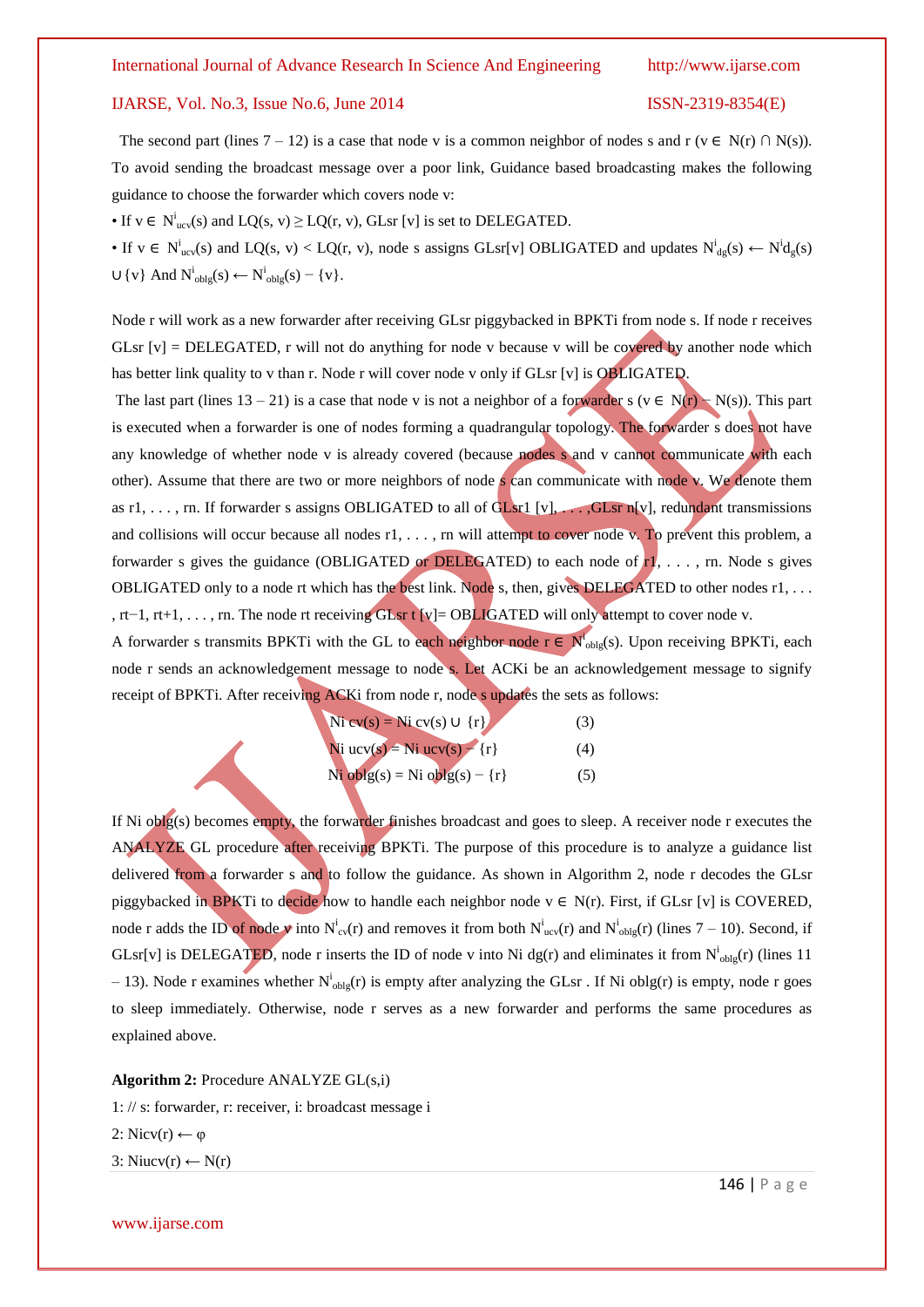#### International Journal of Advance Research In Science And Engineering http://www.ijarse.com

#### IJARSE, Vol. No.3, Issue No.6, June 2014 ISSN-2319-8354(E)

The second part (lines  $7 - 12$ ) is a case that node v is a common neighbor of nodes s and r (v ∈ N(r) ∩ N(s)). To avoid sending the broadcast message over a poor link, Guidance based broadcasting makes the following guidance to choose the forwarder which covers node v:

• If  $v \in N^i_{ucv}(s)$  and  $LQ(s, v) \ge LQ(r, v)$ , GLsr [v] is set to DELEGATED.

• If  $v \in N^i_{ucv}(s)$  and  $LQ(s, v) < LQ(r, v)$ , node s assigns GLsr[v] OBLIGATED and updates  $N^i_{dg}(s) \leftarrow N^i_{dg}(s)$  $\cup \{v\}$  And  $N^i_{\text{objg}}(s) \leftarrow N^i_{\text{objg}}(s) - \{v\}.$ 

Node r will work as a new forwarder after receiving GLsr piggybacked in BPKTi from node s. If node r receives GLsr  $[v]$  = DELEGATED, r will not do anything for node v because v will be covered by another node which has better link quality to v than r. Node r will cover node v only if GLsr [v] is OBLIGATED.

The last part (lines  $13 - 21$ ) is a case that node v is not a neighbor of a forwarder s (v ∈ N(r) – N(s)). This part is executed when a forwarder is one of nodes forming a quadrangular topology. The forwarder s does not have any knowledge of whether node v is already covered (because nodes s and v cannot communicate with each other). Assume that there are two or more neighbors of node  $\boldsymbol{s}$  can communicate with node v. We denote them as r1, ..., rn. If forwarder s assigns OBLIGATED to all of GLsr1  $[v]$ , ..., GLsr n[v], redundant transmissions and collisions will occur because all nodes r1, . . . , rn will attempt to cover node v. To prevent this problem, a forwarder s gives the guidance (OBLIGATED or DELEGATED) to each node of  $\mathbf{I}$ , ..., rn. Node s gives OBLIGATED only to a node rt which has the best link. Node s, then, gives DELEGATED to other nodes r1, ... , rt−1, rt+1, . . . , rn. The node rt receiving GLsr t [v]= OBLIGATED will only attempt to cover node v. A forwarder s transmits BPKTi with the GL to each neighbor node  $r \in N_{\text{objg}}^i(s)$ . Upon receiving BPKTi, each

node r sends an acknowledgement message to node s. Let ACKi be an acknowledgement message to signify receipt of BPKTi. After receiving ACKi from node r, node s updates the sets as follows:

| $\text{Ni } \text{cv}(s) = \text{Ni } \text{cv}(s) \cup \{r\}$ | (3) |
|----------------------------------------------------------------|-----|
| Ni ucv(s) = Ni ucv(s) - $\{r\}$                                | (4) |
| Ni oblg(s) = Ni oblg(s) – $\{r\}$                              | (5) |

If Ni oblg(s) becomes empty, the forwarder finishes broadcast and goes to sleep. A receiver node r executes the ANALYZE GL procedure after receiving BPKTi. The purpose of this procedure is to analyze a guidance list delivered from a forwarder s and to follow the guidance. As shown in Algorithm 2, node r decodes the GLsr piggybacked in BPKTi to decide how to handle each neighbor node  $v \in N(r)$ . First, if GLsr [v] is COVERED, node r adds the ID of node v into  $N_{cv}^i(r)$  and removes it from both  $N_{ucv}^i(r)$  and  $N_{oblg}^i(r)$  (lines 7 – 10). Second, if GLsr[v] is DELEGATED, node r inserts the ID of node v into Ni dg(r) and eliminates it from  $N^i_{\text{objg}}(r)$  (lines 11  $-13$ ). Node r examines whether  $N^i_{\text{objg}}(r)$  is empty after analyzing the GLsr. If Ni oblg(r) is empty, node r goes to sleep immediately. Otherwise, node r serves as a new forwarder and performs the same procedures as explained above.

**Algorithm 2:** Procedure ANALYZE GL(s,i)

1: // s: forwarder, r: receiver, i: broadcast message i 2: Nicv(r)  $\leftarrow \varphi$ 3: Niucv(r) ← N(r)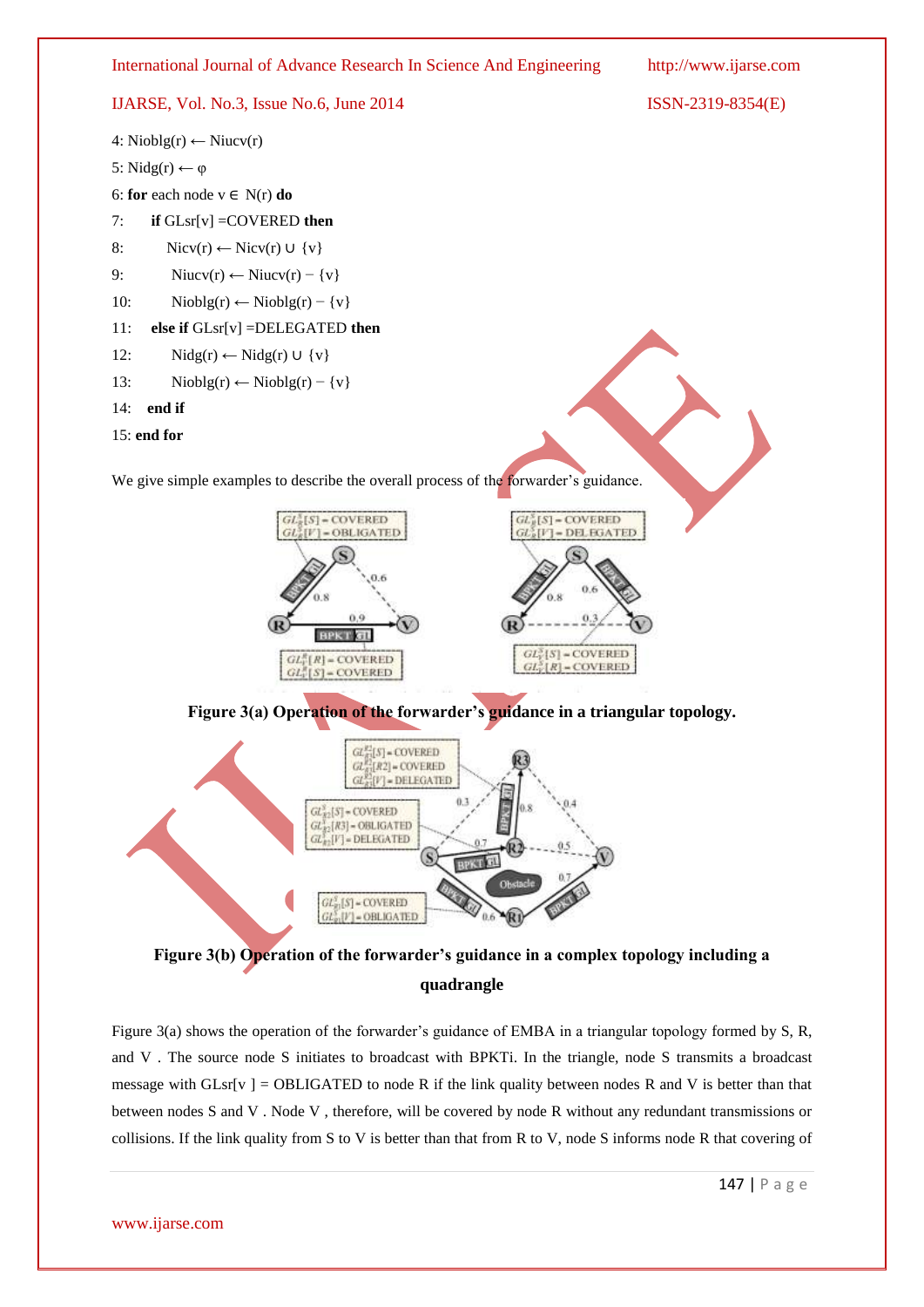

**Figure 3(b) Operation of the forwarder's guidance in a complex topology including a quadrangle**

Figure 3(a) shows the operation of the forwarder's guidance of EMBA in a triangular topology formed by S, R, and V . The source node S initiates to broadcast with BPKTi. In the triangle, node S transmits a broadcast message with  $GLsr[v] = OBLIGATED$  to node R if the link quality between nodes R and V is better than that between nodes S and V . Node V , therefore, will be covered by node R without any redundant transmissions or collisions. If the link quality from S to V is better than that from R to V, node S informs node R that covering of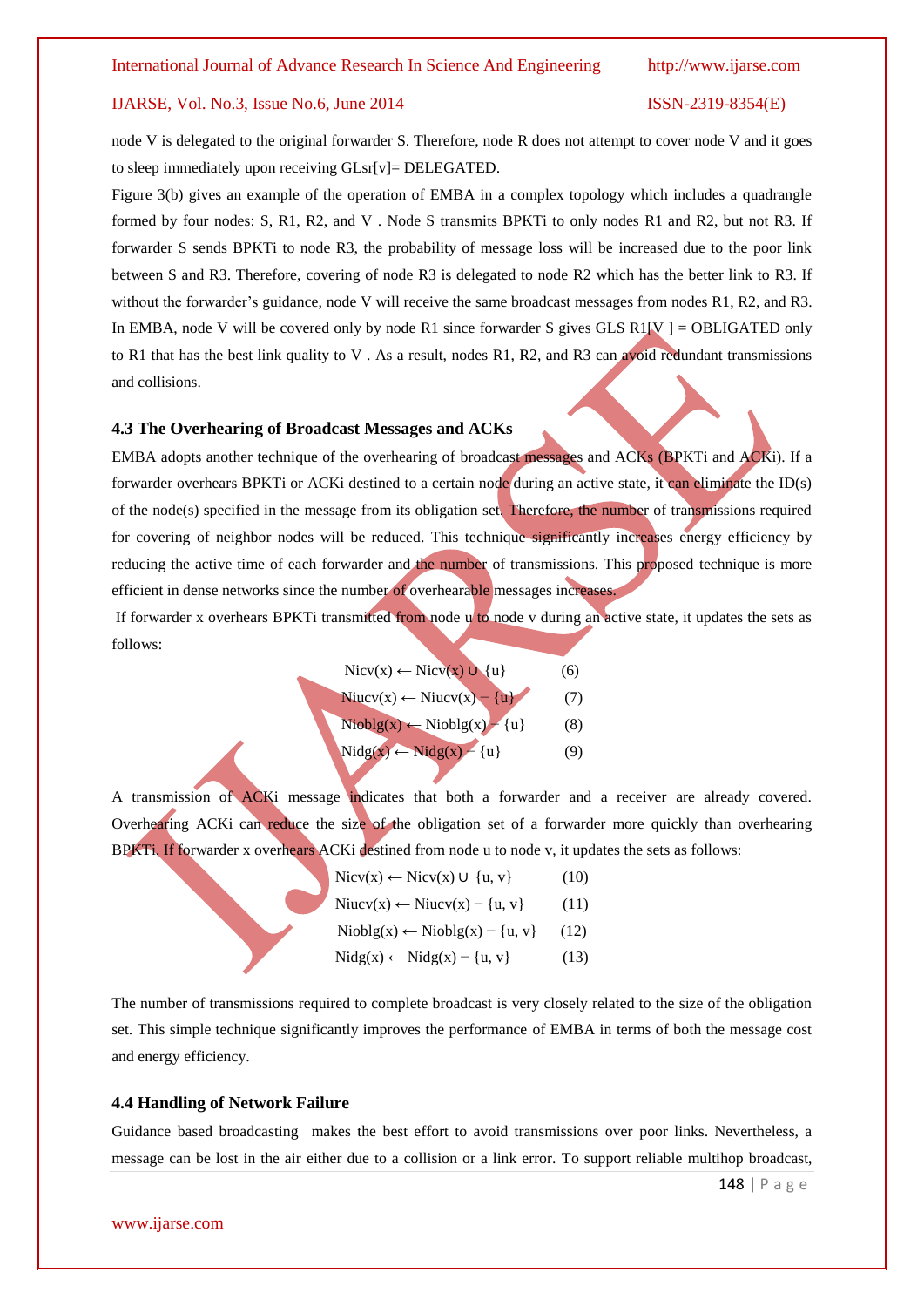node V is delegated to the original forwarder S. Therefore, node R does not attempt to cover node V and it goes to sleep immediately upon receiving GLsr[v]= DELEGATED.

Figure 3(b) gives an example of the operation of EMBA in a complex topology which includes a quadrangle formed by four nodes: S, R1, R2, and V . Node S transmits BPKTi to only nodes R1 and R2, but not R3. If forwarder S sends BPKTi to node R3, the probability of message loss will be increased due to the poor link between S and R3. Therefore, covering of node R3 is delegated to node R2 which has the better link to R3. If without the forwarder's guidance, node V will receive the same broadcast messages from nodes R1, R2, and R3. In EMBA, node V will be covered only by node R1 since forwarder S gives GLS R1[V] = OBLIGATED only to R1 that has the best link quality to V. As a result, nodes R1, R2, and R3 can avoid redundant transmissions and collisions.

#### **4.3 The Overhearing of Broadcast Messages and ACKs**

EMBA adopts another technique of the overhearing of broadcast messages and ACKs (BPKTi and ACKi). If a forwarder overhears BPKTi or ACKi destined to a certain node during an active state, it can eliminate the ID(s) of the node(s) specified in the message from its obligation set. Therefore, the number of transmissions required for covering of neighbor nodes will be reduced. This technique significantly increases energy efficiency by reducing the active time of each forwarder and the number of transmissions. This proposed technique is more efficient in dense networks since the number of overhearable messages increases.

If forwarder x overhears BPKTi transmitted from node u to node v during an active state, it updates the sets as follows:

| $Nicv(x) \leftarrow Nicv(x) \cup \{u\}$                  | (6) |
|----------------------------------------------------------|-----|
| Niucv(x) $\leftarrow$ Niucv(x) – {u}                     | (7) |
| $\text{Niology}(x) \leftarrow \text{Niology}(x) - \{u\}$ | (8) |
| $Nidg(x) \leftarrow Nidg(x) - \{u\}$                     | (9) |

A transmission of ACKi message indicates that both a forwarder and a receiver are already covered. Overhearing ACKi can reduce the size of the obligation set of a forwarder more quickly than overhearing BPKTi. If forwarder x overhears ACKi destined from node u to node v, it updates the sets as follows:

| $Nicv(x) \leftarrow Nicv(x) \cup \{u, v\}$                  | (10) |
|-------------------------------------------------------------|------|
| Niucv(x) ← Niucv(x) – {u, v}                                | (11) |
| $\text{Niology}(x) \leftarrow \text{Niology}(x) - \{u, v\}$ | (12) |
| $Nidg(x) \leftarrow Nidg(x) - \{u, v\}$                     | (13) |

The number of transmissions required to complete broadcast is very closely related to the size of the obligation set. This simple technique significantly improves the performance of EMBA in terms of both the message cost and energy efficiency.

### **4.4 Handling of Network Failure**

Guidance based broadcasting makes the best effort to avoid transmissions over poor links. Nevertheless, a message can be lost in the air either due to a collision or a link error. To support reliable multihop broadcast,